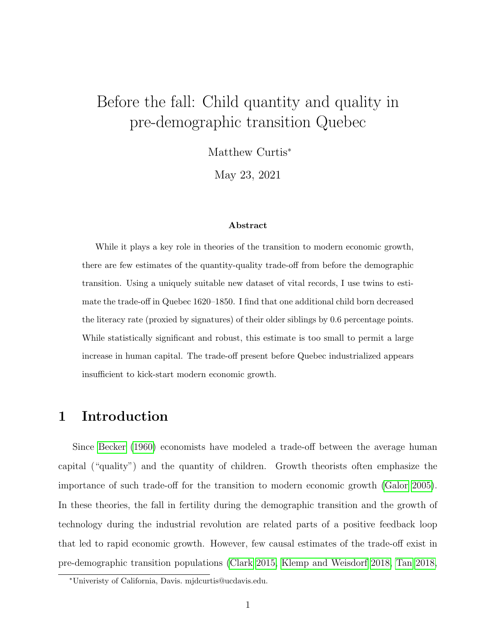# Before the fall: Child quantity and quality in pre-demographic transition Quebec

Matthew Curtis<sup>∗</sup>

May 23, 2021

#### Abstract

While it plays a key role in theories of the transition to modern economic growth, there are few estimates of the quantity-quality trade-off from before the demographic transition. Using a uniquely suitable new dataset of vital records, I use twins to estimate the trade-off in Quebec 1620–1850. I find that one additional child born decreased the literacy rate (proxied by signatures) of their older siblings by 0.6 percentage points. While statistically significant and robust, this estimate is too small to permit a large increase in human capital. The trade-off present before Quebec industrialized appears insufficient to kick-start modern economic growth.

# 1 Introduction

Since [Becker](#page-20-0) [\(1960\)](#page-20-0) economists have modeled a trade-off between the average human capital ("quality") and the quantity of children. Growth theorists often emphasize the importance of such trade-off for the transition to modern economic growth [\(Galor 2005\)](#page-22-0). In these theories, the fall in fertility during the demographic transition and the growth of technology during the industrial revolution are related parts of a positive feedback loop that led to rapid economic growth. However, few causal estimates of the trade-off exist in pre-demographic transition populations [\(Clark 2015,](#page-21-0) [Klemp and Weisdorf 2018,](#page-22-1) [Tan 2018,](#page-23-0)

<sup>∗</sup>Univeristy of California, Davis. mjdcurtis@ucdavis.edu.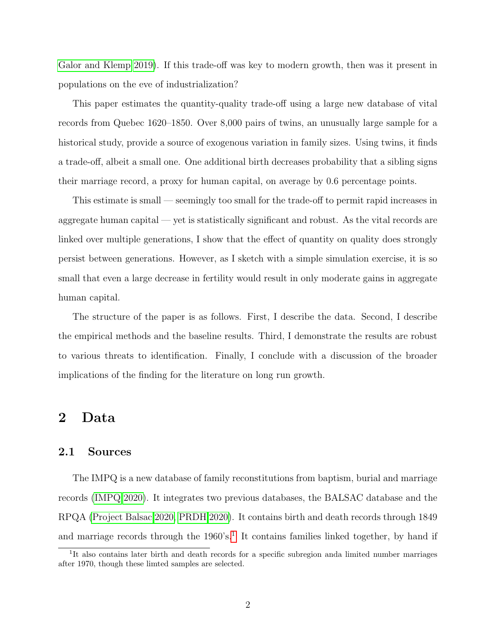[Galor and Klemp 2019\)](#page-22-2). If this trade-off was key to modern growth, then was it present in populations on the eve of industrialization?

This paper estimates the quantity-quality trade-off using a large new database of vital records from Quebec 1620–1850. Over 8,000 pairs of twins, an unusually large sample for a historical study, provide a source of exogenous variation in family sizes. Using twins, it finds a trade-off, albeit a small one. One additional birth decreases probability that a sibling signs their marriage record, a proxy for human capital, on average by 0.6 percentage points.

This estimate is small — seemingly too small for the trade-off to permit rapid increases in aggregate human capital — yet is statistically significant and robust. As the vital records are linked over multiple generations, I show that the effect of quantity on quality does strongly persist between generations. However, as I sketch with a simple simulation exercise, it is so small that even a large decrease in fertility would result in only moderate gains in aggregate human capital.

The structure of the paper is as follows. First, I describe the data. Second, I describe the empirical methods and the baseline results. Third, I demonstrate the results are robust to various threats to identification. Finally, I conclude with a discussion of the broader implications of the finding for the literature on long run growth.

# 2 Data

#### 2.1 Sources

The IMPQ is a new database of family reconstitutions from baptism, burial and marriage records [\(IMPQ 2020\)](#page-22-3). It integrates two previous databases, the BALSAC database and the RPQA [\(Project Balsac 2020,](#page-23-1) [PRDH 2020\)](#page-23-2). It contains birth and death records through 1849 and marriage records through the [1](#page-1-0)960's.<sup>1</sup> It contains families linked together, by hand if

<span id="page-1-0"></span><sup>&</sup>lt;sup>1</sup>It also contains later birth and death records for a specific subregion anda limited number marriages after 1970, though these limted samples are selected.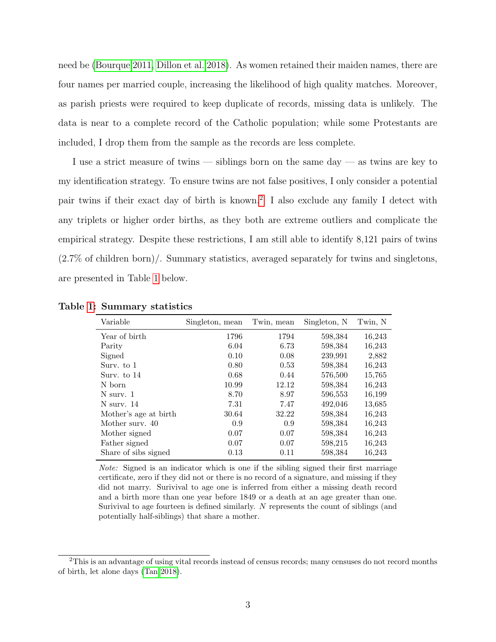need be [\(Bourque 2011,](#page-21-1) [Dillon et al. 2018\)](#page-21-2). As women retained their maiden names, there are four names per married couple, increasing the likelihood of high quality matches. Moreover, as parish priests were required to keep duplicate of records, missing data is unlikely. The data is near to a complete record of the Catholic population; while some Protestants are included, I drop them from the sample as the records are less complete.

I use a strict measure of twins — siblings born on the same day — as twins are key to my identification strategy. To ensure twins are not false positives, I only consider a potential pair twins if their exact day of birth is known.[2](#page-2-0) I also exclude any family I detect with any triplets or higher order births, as they both are extreme outliers and complicate the empirical strategy. Despite these restrictions, I am still able to identify 8,121 pairs of twins  $(2.7\% \text{ of children born})$ . Summary statistics, averaged separately for twins and singletons, are presented in Table [1](#page-2-1) below.

| Variable              | Singleton, mean | Twin, mean | Singleton, N | Twin, N |
|-----------------------|-----------------|------------|--------------|---------|
| Year of birth         | 1796            | 1794       | 598,384      | 16,243  |
| Parity                | 6.04            | 6.73       | 598,384      | 16,243  |
| Signed                | 0.10            | 0.08       | 239,991      | 2,882   |
| Surv. to 1            | 0.80            | 0.53       | 598,384      | 16,243  |
| Surv. to 14           | 0.68            | 0.44       | 576,500      | 15,765  |
| N born                | 10.99           | 12.12      | 598,384      | 16,243  |
| N surv. 1             | 8.70            | 8.97       | 596,553      | 16,199  |
| N surv. 14            | 7.31            | 7.47       | 492,046      | 13,685  |
| Mother's age at birth | 30.64           | 32.22      | 598,384      | 16,243  |
| Mother surv. 40       | 0.9             | 0.9        | 598,384      | 16,243  |
| Mother signed         | 0.07            | 0.07       | 598,384      | 16,243  |
| Father signed         | 0.07            | 0.07       | 598,215      | 16,243  |
| Share of sibs signed  | 0.13            | 0.11       | 598,384      | 16,243  |

<span id="page-2-1"></span>Table [1:](#page-2-1) Summary statistics

Note: Signed is an indicator which is one if the sibling signed their first marriage certificate, zero if they did not or there is no record of a signature, and missing if they did not marry. Surivival to age one is inferred from either a missing death record and a birth more than one year before 1849 or a death at an age greater than one. Surivival to age fourteen is defined similarly. N represents the count of siblings (and potentially half-siblings) that share a mother.

<span id="page-2-0"></span> $2$ This is an advantage of using vital records instead of census records; many censuses do not record months of birth, let alone days [\(Tan 2018\)](#page-23-0).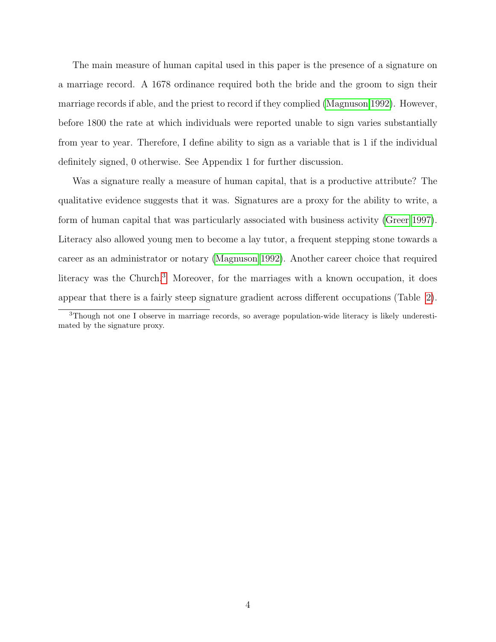The main measure of human capital used in this paper is the presence of a signature on a marriage record. A 1678 ordinance required both the bride and the groom to sign their marriage records if able, and the priest to record if they complied [\(Magnuson 1992\)](#page-23-3). However, before 1800 the rate at which individuals were reported unable to sign varies substantially from year to year. Therefore, I define ability to sign as a variable that is 1 if the individual definitely signed, 0 otherwise. See Appendix 1 for further discussion.

Was a signature really a measure of human capital, that is a productive attribute? The qualitative evidence suggests that it was. Signatures are a proxy for the ability to write, a form of human capital that was particularly associated with business activity [\(Greer 1997\)](#page-22-4). Literacy also allowed young men to become a lay tutor, a frequent stepping stone towards a career as an administrator or notary [\(Magnuson 1992\)](#page-23-3). Another career choice that required literacy was the Church.<sup>[3](#page-3-0)</sup> Moreover, for the marriages with a known occupation, it does appear that there is a fairly steep signature gradient across different occupations (Table [2\)](#page-4-0).

<span id="page-3-0"></span><sup>3</sup>Though not one I observe in marriage records, so average population-wide literacy is likely underestimated by the signature proxy.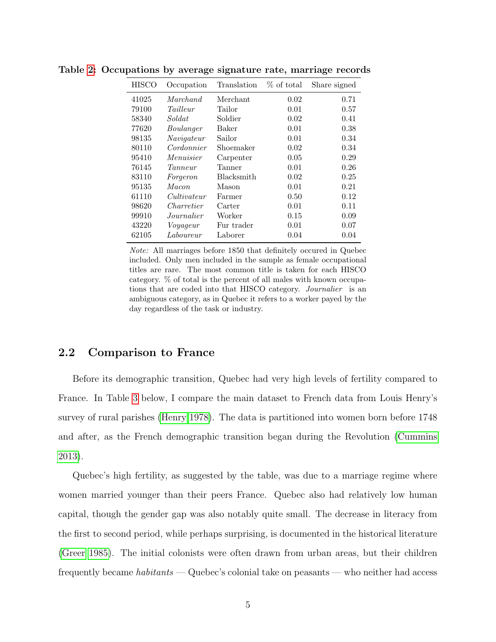| <b>HISCO</b> | Occupation  | Translation       | % of total | Share signed |
|--------------|-------------|-------------------|------------|--------------|
| 41025        | Marchand    | Merchant          | 0.02       | 0.71         |
| 79100        | Tailleur    | Tailor            | 0.01       | 0.57         |
| 58340        | Soldat      | Soldier           | 0.02       | 0.41         |
| 77620        | Boulanger   | Baker             | 0.01       | 0.38         |
| 98135        | Navigateur  | Sailor            | 0.01       | 0.34         |
| 80110        | Cordonnier  | Shoemaker         | 0.02       | 0.34         |
| 95410        | Menuisier   | Carpenter         | 0.05       | 0.29         |
| 76145        | Tanneur     | Tanner            | 0.01       | 0.26         |
| 83110        | Forgeron    | <b>Blacksmith</b> | 0.02       | 0.25         |
| 95135        | Macon.      | Mason             | 0.01       | 0.21         |
| 61110        | Cultivateur | Farmer            | 0.50       | 0.12         |
| 98620        | Charretier  | Carter            | 0.01       | 0.11         |
| 99910        | Journalier  | Worker            | 0.15       | 0.09         |
| 43220        | Voyageur    | Fur trader        | 0.01       | 0.07         |
| 62105        | Laboureur   | Laborer           | 0.04       | 0.04         |

<span id="page-4-0"></span>Table [2:](#page-4-0) Occupations by average signature rate, marriage records

Note: All marriages before 1850 that definitely occured in Quebec included. Only men included in the sample as female occupational titles are rare. The most common title is taken for each HISCO category. % of total is the percent of all males with known occupations that are coded into that HISCO category. Journalier is an ambiguous category, as in Quebec it refers to a worker payed by the day regardless of the task or industry.

### 2.2 Comparison to France

Before its demographic transition, Quebec had very high levels of fertility compared to France. In Table [3](#page-5-0) below, I compare the main dataset to French data from Louis Henry's survey of rural parishes [\(Henry 1978\)](#page-22-5). The data is partitioned into women born before 1748 and after, as the French demographic transition began during the Revolution [\(Cummins](#page-21-3) [2013\)](#page-21-3).

Quebec's high fertility, as suggested by the table, was due to a marriage regime where women married younger than their peers France. Quebec also had relatively low human capital, though the gender gap was also notably quite small. The decrease in literacy from the first to second period, while perhaps surprising, is documented in the historical literature [\(Greer 1985\)](#page-22-6). The initial colonists were often drawn from urban areas, but their children frequently became habitants — Quebec's colonial take on peasants — who neither had access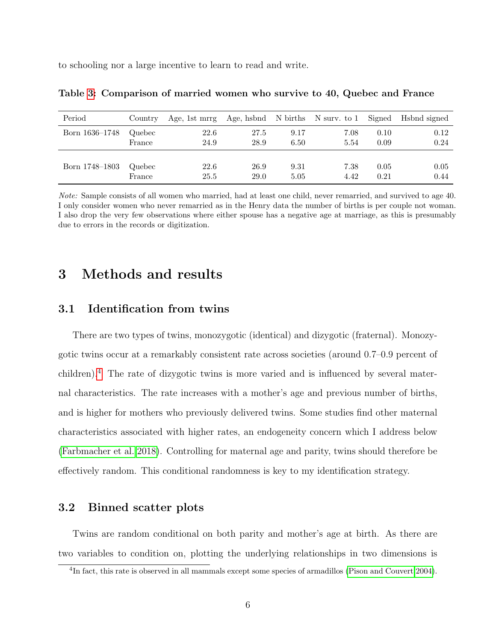<span id="page-5-0"></span>to schooling nor a large incentive to learn to read and write.

| Period         | Country | Age, 1st mrrg Age, hsbnd N births N surv. to 1 Signed Hsbnd signed |      |      |      |      |      |
|----------------|---------|--------------------------------------------------------------------|------|------|------|------|------|
| Born 1636–1748 | Quebec  | 22.6                                                               | 27.5 | 9.17 | 7.08 | 0.10 | 0.12 |
|                | France  | 24.9                                                               | 28.9 | 6.50 | 5.54 | 0.09 | 0.24 |
|                |         |                                                                    |      |      |      |      |      |
| Born 1748–1803 | Quebec  | 22.6                                                               | 26.9 | 9.31 | 7.38 | 0.05 | 0.05 |
|                | France  | 25.5                                                               | 29.0 | 5.05 | 4.42 | 0.21 | 0.44 |

Table [3:](#page-5-0) Comparison of married women who survive to 40, Quebec and France

Note: Sample consists of all women who married, had at least one child, never remarried, and survived to age 40. I only consider women who never remarried as in the Henry data the number of births is per couple not woman. I also drop the very few observations where either spouse has a negative age at marriage, as this is presumably due to errors in the records or digitization.

# 3 Methods and results

### 3.1 Identification from twins

There are two types of twins, monozygotic (identical) and dizygotic (fraternal). Monozygotic twins occur at a remarkably consistent rate across societies (around 0.7–0.9 percent of children).[4](#page-5-1) The rate of dizygotic twins is more varied and is influenced by several maternal characteristics. The rate increases with a mother's age and previous number of births, and is higher for mothers who previously delivered twins. Some studies find other maternal characteristics associated with higher rates, an endogeneity concern which I address below [\(Farbmacher et al. 2018\)](#page-21-4). Controlling for maternal age and parity, twins should therefore be effectively random. This conditional randomness is key to my identification strategy.

### 3.2 Binned scatter plots

Twins are random conditional on both parity and mother's age at birth. As there are two variables to condition on, plotting the underlying relationships in two dimensions is

<span id="page-5-1"></span><sup>&</sup>lt;sup>4</sup>In fact, this rate is observed in all mammals except some species of armadillos [\(Pison and Couvert 2004\)](#page-23-4).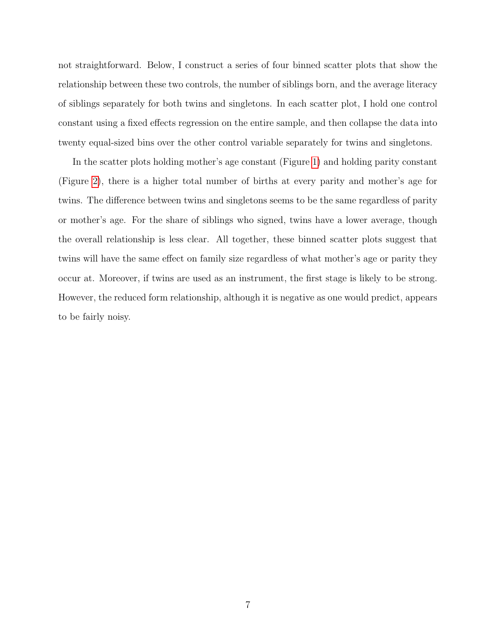not straightforward. Below, I construct a series of four binned scatter plots that show the relationship between these two controls, the number of siblings born, and the average literacy of siblings separately for both twins and singletons. In each scatter plot, I hold one control constant using a fixed effects regression on the entire sample, and then collapse the data into twenty equal-sized bins over the other control variable separately for twins and singletons.

In the scatter plots holding mother's age constant (Figure [1\)](#page-7-0) and holding parity constant (Figure [2\)](#page-7-1), there is a higher total number of births at every parity and mother's age for twins. The difference between twins and singletons seems to be the same regardless of parity or mother's age. For the share of siblings who signed, twins have a lower average, though the overall relationship is less clear. All together, these binned scatter plots suggest that twins will have the same effect on family size regardless of what mother's age or parity they occur at. Moreover, if twins are used as an instrument, the first stage is likely to be strong. However, the reduced form relationship, although it is negative as one would predict, appears to be fairly noisy.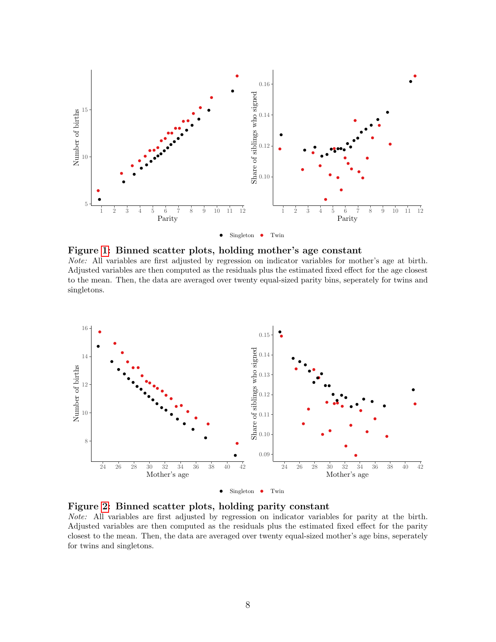<span id="page-7-0"></span>

Figure [1:](#page-7-0) Binned scatter plots, holding mother's age constant

Note: All variables are first adjusted by regression on indicator variables for mother's age at birth. Adjusted variables are then computed as the residuals plus the estimated fixed effect for the age closest to the mean. Then, the data are averaged over twenty equal-sized parity bins, seperately for twins and singletons.

<span id="page-7-1"></span>

Figure [2:](#page-7-1) Binned scatter plots, holding parity constant Note: All variables are first adjusted by regression on indicator variables for parity at the birth. Adjusted variables are then computed as the residuals plus the estimated fixed effect for the parity closest to the mean. Then, the data are averaged over twenty equal-sized mother's age bins, seperately for twins and singletons.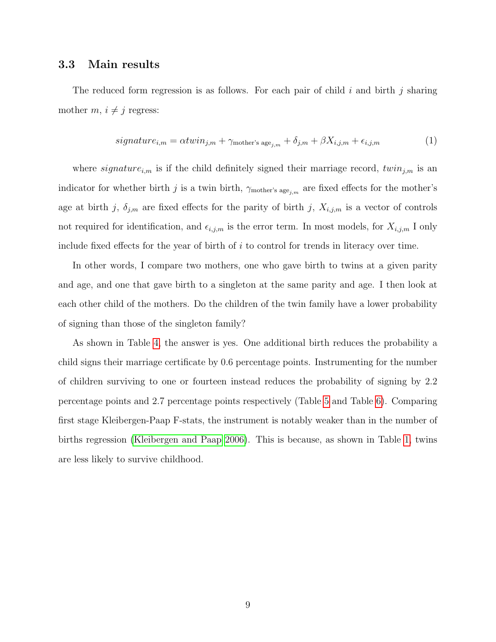### 3.3 Main results

The reduced form regression is as follows. For each pair of child  $i$  and birth  $j$  sharing mother  $m, i \neq j$  regress:

$$
signature_{i,m} = \alpha twin_{j,m} + \gamma_{\text{mother's age}_{j,m}} + \delta_{j,m} + \beta X_{i,j,m} + \epsilon_{i,j,m}
$$
(1)

where *signature<sub>i,m</sub>* is if the child definitely signed their marriage record,  $twin_{j,m}$  is an indicator for whether birth j is a twin birth,  $\gamma_{\text{mother's age}_{j,m}}$  are fixed effects for the mother's age at birth j,  $\delta_{j,m}$  are fixed effects for the parity of birth j,  $X_{i,j,m}$  is a vector of controls not required for identification, and  $\epsilon_{i,j,m}$  is the error term. In most models, for  $X_{i,j,m}$  I only include fixed effects for the year of birth of i to control for trends in literacy over time.

In other words, I compare two mothers, one who gave birth to twins at a given parity and age, and one that gave birth to a singleton at the same parity and age. I then look at each other child of the mothers. Do the children of the twin family have a lower probability of signing than those of the singleton family?

As shown in Table [4,](#page-9-0) the answer is yes. One additional birth reduces the probability a child signs their marriage certificate by 0.6 percentage points. Instrumenting for the number of children surviving to one or fourteen instead reduces the probability of signing by 2.2 percentage points and 2.7 percentage points respectively (Table [5](#page-9-1) and Table [6\)](#page-10-0). Comparing first stage Kleibergen-Paap F-stats, the instrument is notably weaker than in the number of births regression [\(Kleibergen and Paap 2006\)](#page-22-7). This is because, as shown in Table [1,](#page-2-1) twins are less likely to survive childhood.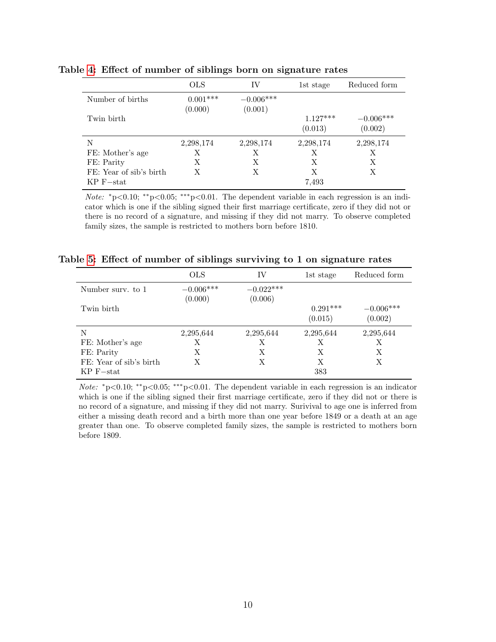|                         | <b>OLS</b>            | IV                     | 1st stage             | Reduced form           |
|-------------------------|-----------------------|------------------------|-----------------------|------------------------|
| Number of births        | $0.001***$<br>(0.000) | $-0.006***$<br>(0.001) |                       |                        |
| Twin birth              |                       |                        | $1.127***$<br>(0.013) | $-0.006***$<br>(0.002) |
| N                       | 2,298,174             | 2,298,174              | 2,298,174             | 2,298,174              |
| FE: Mother's age        | Х                     | Х                      | Х                     | Х                      |
| FE: Parity              | Х                     | Х                      | Х                     | Х                      |
| FE: Year of sib's birth | Х                     | X                      | X                     | X                      |
| $KP$ F-stat             |                       |                        | 7.493                 |                        |

<span id="page-9-0"></span>Table [4:](#page-9-0) Effect of number of siblings born on signature rates

Note: \*p<0.10; \*\*p<0.05; \*\*\*p<0.01. The dependent variable in each regression is an indicator which is one if the sibling signed their first marriage certificate, zero if they did not or there is no record of a signature, and missing if they did not marry. To observe completed family sizes, the sample is restricted to mothers born before 1810.

<span id="page-9-1"></span>

|  |  |  |  |  |  | Table 5: Effect of number of siblings surviving to 1 on signature rates |  |  |  |  |  |
|--|--|--|--|--|--|-------------------------------------------------------------------------|--|--|--|--|--|
|--|--|--|--|--|--|-------------------------------------------------------------------------|--|--|--|--|--|

|                         | <b>OLS</b>             | IV                     | 1st stage             | Reduced form           |
|-------------------------|------------------------|------------------------|-----------------------|------------------------|
| Number surv. to 1       | $-0.006***$<br>(0.000) | $-0.022***$<br>(0.006) |                       |                        |
| Twin birth              |                        |                        | $0.291***$<br>(0.015) | $-0.006***$<br>(0.002) |
| N                       | 2,295,644              | 2,295,644              | 2,295,644             | 2,295,644              |
| FE: Mother's age        | Х                      | Х                      | Х                     | Х                      |
| FE: Parity              | X                      | X                      | X                     | X                      |
| FE: Year of sib's birth | X                      | X                      | X                     | X                      |
| $KP$ F-stat             |                        |                        | 383                   |                        |

*Note:*  $*p<0.10$ ;  $*p<0.05$ ;  $**p<0.01$ . The dependent variable in each regression is an indicator which is one if the sibling signed their first marriage certificate, zero if they did not or there is no record of a signature, and missing if they did not marry. Surivival to age one is inferred from either a missing death record and a birth more than one year before 1849 or a death at an age greater than one. To observe completed family sizes, the sample is restricted to mothers born before 1809.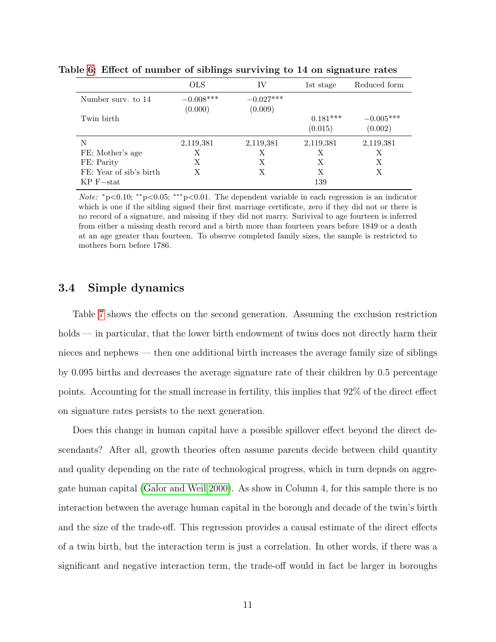|                         | <b>OLS</b>             | IV                     | 1st stage             | Reduced form           |
|-------------------------|------------------------|------------------------|-----------------------|------------------------|
| Number surv. to 14      | $-0.008***$<br>(0.000) | $-0.027***$<br>(0.009) |                       |                        |
| Twin birth              |                        |                        | $0.181***$<br>(0.015) | $-0.005***$<br>(0.002) |
| N                       | 2,119,381              | 2,119,381              | 2,119,381             | 2,119,381              |
| FE: Mother's age        | Х                      | Х                      | Х                     | Х                      |
| FE: Parity              | X                      | Х                      | X                     | X                      |
| FE: Year of sib's birth | Х                      | Х                      | Х                     | X                      |
| $KP$ F $-$ stat         |                        |                        | 139                   |                        |

<span id="page-10-0"></span>Table [6:](#page-10-0) Effect of number of siblings surviving to 14 on signature rates

Note: <sup>∗</sup>p<0.10; ∗∗p<0.05; ∗∗∗p<0.01. The dependent variable in each regression is an indicator which is one if the sibling signed their first marriage certificate, zero if they did not or there is no record of a signature, and missing if they did not marry. Surivival to age fourteen is inferred from either a missing death record and a birth more than fourteen years before 1849 or a death at an age greater than fourteen. To observe completed family sizes, the sample is restricted to mothers born before 1786.

#### 3.4 Simple dynamics

Table [7](#page-12-0) shows the effects on the second generation. Assuming the exclusion restriction holds — in particular, that the lower birth endowment of twins does not directly harm their nieces and nephews — then one additional birth increases the average family size of siblings by 0.095 births and decreases the average signature rate of their children by 0.5 percentage points. Accounting for the small increase in fertility, this implies that 92% of the direct effect on signature rates persists to the next generation.

Does this change in human capital have a possible spillover effect beyond the direct descendants? After all, growth theories often assume parents decide between child quantity and quality depending on the rate of technological progress, which in turn depnds on aggregate human capital [\(Galor and Weil 2000\)](#page-22-8). As show in Column 4, for this sample there is no interaction between the average human capital in the borough and decade of the twin's birth and the size of the trade-off. This regression provides a causal estimate of the direct effects of a twin birth, but the interaction term is just a correlation. In other words, if there was a significant and negative interaction term, the trade-off would in fact be larger in boroughs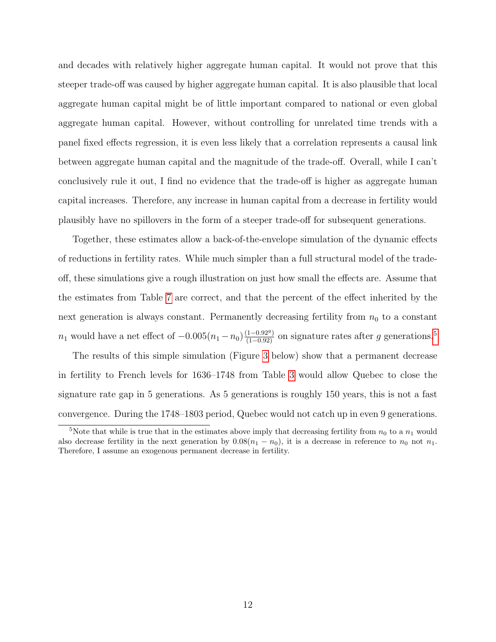and decades with relatively higher aggregate human capital. It would not prove that this steeper trade-off was caused by higher aggregate human capital. It is also plausible that local aggregate human capital might be of little important compared to national or even global aggregate human capital. However, without controlling for unrelated time trends with a panel fixed effects regression, it is even less likely that a correlation represents a causal link between aggregate human capital and the magnitude of the trade-off. Overall, while I can't conclusively rule it out, I find no evidence that the trade-off is higher as aggregate human capital increases. Therefore, any increase in human capital from a decrease in fertility would plausibly have no spillovers in the form of a steeper trade-off for subsequent generations.

Together, these estimates allow a back-of-the-envelope simulation of the dynamic effects of reductions in fertility rates. While much simpler than a full structural model of the tradeoff, these simulations give a rough illustration on just how small the effects are. Assume that the estimates from Table [7](#page-12-0) are correct, and that the percent of the effect inherited by the next generation is always constant. Permanently decreasing fertility from  $n_0$  to a constant  $n_1$  would have a net effect of  $-0.005(n_1 - n_0) \frac{(1 - 0.92)g}{(1 - 0.92)}$  $-0.005(n_1 - n_0) \frac{(1 - 0.92)g}{(1 - 0.92)}$  $-0.005(n_1 - n_0) \frac{(1 - 0.92)g}{(1 - 0.92)}$  on signature rates after g generations.<sup>5</sup>

The results of this simple simulation (Figure [3](#page-13-0) below) show that a permanent decrease in fertility to French levels for 1636–1748 from Table [3](#page-5-0) would allow Quebec to close the signature rate gap in 5 generations. As 5 generations is roughly 150 years, this is not a fast convergence. During the 1748–1803 period, Quebec would not catch up in even 9 generations.

<span id="page-11-0"></span><sup>&</sup>lt;sup>5</sup>Note that while is true that in the estimates above imply that decreasing fertility from  $n_0$  to a  $n_1$  would also decrease fertility in the next generation by  $0.08(n_1 - n_0)$ , it is a decrease in reference to  $n_0$  not  $n_1$ . Therefore, I assume an exogenous permanent decrease in fertility.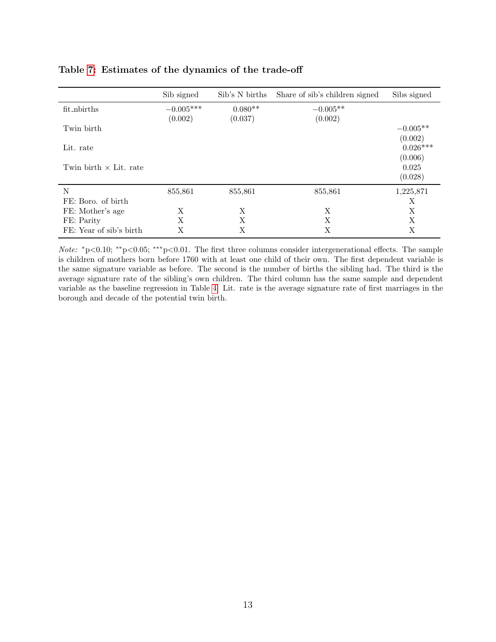|                               | Sib signed  | Sib's N births | Share of sib's children signed | Sibs signed |
|-------------------------------|-------------|----------------|--------------------------------|-------------|
| fit_nbirths                   | $-0.005***$ | $0.080**$      | $-0.005**$                     |             |
|                               | (0.002)     | (0.037)        | (0.002)                        |             |
| Twin birth                    |             |                |                                | $-0.005**$  |
|                               |             |                |                                | (0.002)     |
| Lit. rate                     |             |                |                                | $0.026***$  |
|                               |             |                |                                | (0.006)     |
| Twin birth $\times$ Lit. rate |             |                |                                | 0.025       |
|                               |             |                |                                | (0.028)     |
| N                             | 855,861     | 855,861        | 855,861                        | 1,225,871   |
| FE: Boro. of birth            |             |                |                                | Χ           |
| FE: Mother's age              | X           | X              | X                              | X           |
| FE: Parity                    | X           | X              | Х                              | X           |
| FE: Year of sib's birth       | Χ           | Χ              | Х                              | Χ           |

#### <span id="page-12-0"></span>Table [7:](#page-12-0) Estimates of the dynamics of the trade-off

Note: \*p<0.10; \*\*p<0.05; \*\*\*p<0.01. The first three columns consider intergenerational effects. The sample is children of mothers born before 1760 with at least one child of their own. The first dependent variable is the same signature variable as before. The second is the number of births the sibling had. The third is the average signature rate of the sibling's own children. The third column has the same sample and dependent variable as the baseline regression in Table [4.](#page-9-0) Lit. rate is the average signature rate of first marriages in the borough and decade of the potential twin birth.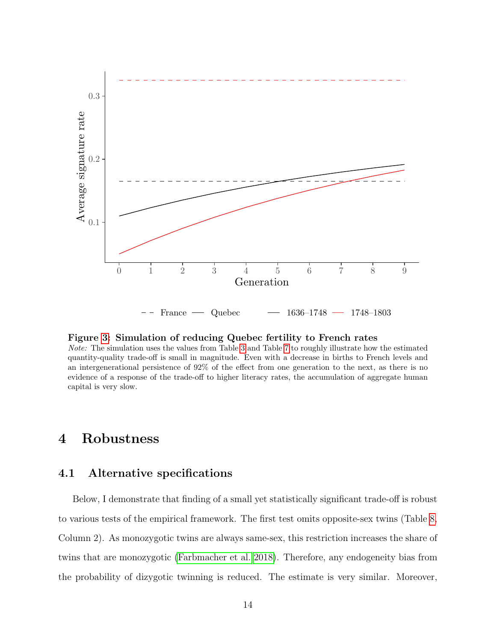<span id="page-13-0"></span>

Figure [3:](#page-13-0) Simulation of reducing Quebec fertility to French rates

Note: The simulation uses the values from Table [3](#page-5-0) and Table [7](#page-12-0) to roughly illustrate how the estimated quantity-quality trade-off is small in magnitude. Even with a decrease in births to French levels and an intergenerational persistence of 92% of the effect from one generation to the next, as there is no evidence of a response of the trade-off to higher literacy rates, the accumulation of aggregate human capital is very slow.

# 4 Robustness

### 4.1 Alternative specifications

Below, I demonstrate that finding of a small yet statistically significant trade-off is robust to various tests of the empirical framework. The first test omits opposite-sex twins (Table [8,](#page-15-0) Column 2). As monozygotic twins are always same-sex, this restriction increases the share of twins that are monozygotic [\(Farbmacher et al. 2018\)](#page-21-4). Therefore, any endogeneity bias from the probability of dizygotic twinning is reduced. The estimate is very similar. Moreover,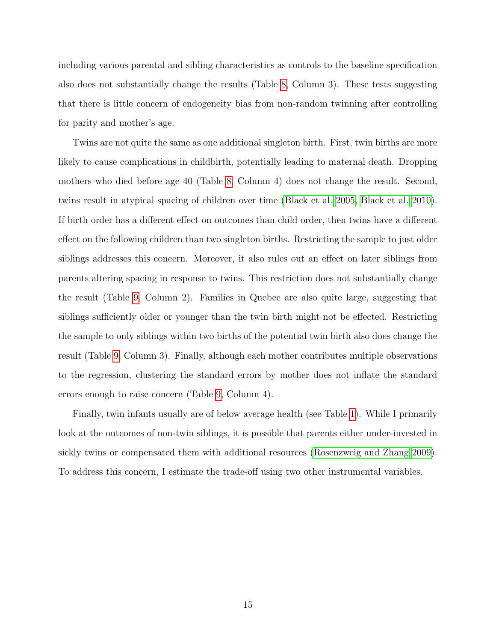including various parental and sibling characteristics as controls to the baseline specification also does not substantially change the results (Table [8,](#page-15-0) Column 3). These tests suggesting that there is little concern of endogeneity bias from non-random twinning after controlling for parity and mother's age.

Twins are not quite the same as one additional singleton birth. First, twin births are more likely to cause complications in childbirth, potentially leading to maternal death. Dropping mothers who died before age 40 (Table [8,](#page-15-0) Column 4) does not change the result. Second, twins result in atypical spacing of children over time [\(Black et al. 2005,](#page-20-1) [Black et al. 2010\)](#page-20-2). If birth order has a different effect on outcomes than child order, then twins have a different effect on the following children than two singleton births. Restricting the sample to just older siblings addresses this concern. Moreover, it also rules out an effect on later siblings from parents altering spacing in response to twins. This restriction does not substantially change the result (Table [9,](#page-15-1) Column 2). Families in Quebec are also quite large, suggesting that siblings sufficiently older or younger than the twin birth might not be effected. Restricting the sample to only siblings within two births of the potential twin birth also does change the result (Table [9,](#page-15-1) Column 3). Finally, although each mother contributes multiple observations to the regression, clustering the standard errors by mother does not inflate the standard errors enough to raise concern (Table [9,](#page-15-1) Column 4).

Finally, twin infants usually are of below average health (see Table [1\)](#page-2-1). While I primarily look at the outcomes of non-twin siblings, it is possible that parents either under-invested in sickly twins or compensated them with additional resources [\(Rosenzweig and Zhang 2009\)](#page-23-5). To address this concern, I estimate the trade-off using two other instrumental variables.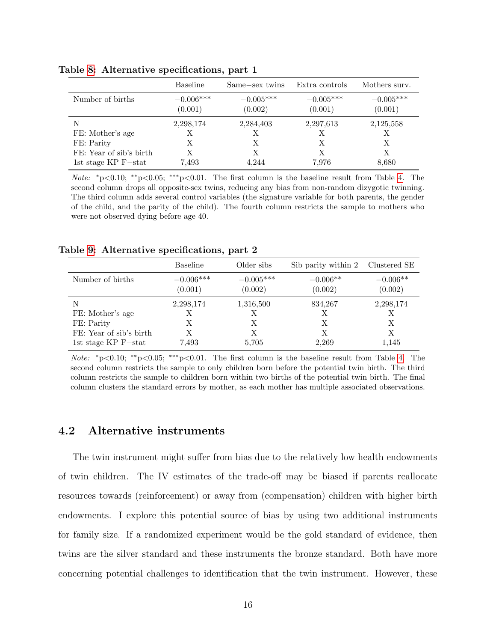|                         | <b>Baseline</b>        | Same-sex twins         | Extra controls         | Mothers surv.          |
|-------------------------|------------------------|------------------------|------------------------|------------------------|
| Number of births        | $-0.006***$<br>(0.001) | $-0.005***$<br>(0.002) | $-0.005***$<br>(0.001) | $-0.005***$<br>(0.001) |
| N                       | 2,298,174              | 2,284,403              | 2,297,613              | 2,125,558              |
| FE: Mother's age        | Х                      | Х                      | Х                      | X                      |
| FE: Parity              | X                      | X                      | Х                      | X                      |
| FE: Year of sib's birth | Х                      | Х                      | Х                      | X                      |
| 1st stage $KP$ F-stat   | 7.493                  | 4.244                  | 7,976                  | 8,680                  |

<span id="page-15-0"></span>Table [8:](#page-15-0) Alternative specifications, part 1

Note: <sup>∗</sup>p<0.10; ∗∗p<0.05; ∗∗∗p<0.01. The first column is the baseline result from Table [4.](#page-9-0) The second column drops all opposite-sex twins, reducing any bias from non-random dizygotic twinning. The third column adds several control variables (the signature variable for both parents, the gender of the child, and the parity of the child). The fourth column restricts the sample to mothers who were not observed dying before age 40.

<span id="page-15-1"></span>

|                         | Baseline               | Older sibs             | Sib parity within 2 Clustered SE |                       |
|-------------------------|------------------------|------------------------|----------------------------------|-----------------------|
| Number of births        | $-0.006***$<br>(0.001) | $-0.005***$<br>(0.002) | $-0.006**$<br>(0.002)            | $-0.006**$<br>(0.002) |
| N                       | 2,298,174              | 1,316,500              | 834,267                          | 2,298,174             |
| FE: Mother's age        | Х                      | Х                      | Х                                |                       |
| FE: Parity              | Х                      | Х                      | X                                | X                     |
| FE: Year of sib's birth | X                      | X                      | Х                                | X                     |
| 1st stage $KP$ F-stat   | 7.493                  | 5,705                  | 2,269                            | 1,145                 |

*Note:*  $*p<0.10$ ;  $*^p<0.05$ ;  $**^p<0.01$ . The first column is the baseline result from Table [4.](#page-9-0) The second column restricts the sample to only children born before the potential twin birth. The third column restricts the sample to children born within two births of the potential twin birth. The final column clusters the standard errors by mother, as each mother has multiple associated observations.

### 4.2 Alternative instruments

The twin instrument might suffer from bias due to the relatively low health endowments of twin children. The IV estimates of the trade-off may be biased if parents reallocate resources towards (reinforcement) or away from (compensation) children with higher birth endowments. I explore this potential source of bias by using two additional instruments for family size. If a randomized experiment would be the gold standard of evidence, then twins are the silver standard and these instruments the bronze standard. Both have more concerning potential challenges to identification that the twin instrument. However, these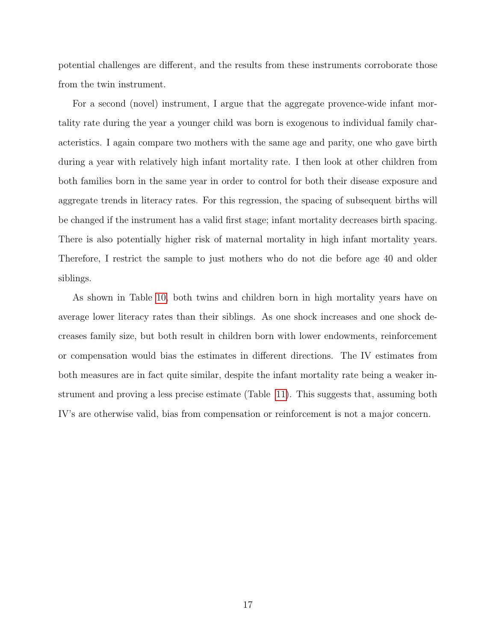potential challenges are different, and the results from these instruments corroborate those from the twin instrument.

For a second (novel) instrument, I argue that the aggregate provence-wide infant mortality rate during the year a younger child was born is exogenous to individual family characteristics. I again compare two mothers with the same age and parity, one who gave birth during a year with relatively high infant mortality rate. I then look at other children from both families born in the same year in order to control for both their disease exposure and aggregate trends in literacy rates. For this regression, the spacing of subsequent births will be changed if the instrument has a valid first stage; infant mortality decreases birth spacing. There is also potentially higher risk of maternal mortality in high infant mortality years. Therefore, I restrict the sample to just mothers who do not die before age 40 and older siblings.

As shown in Table [10,](#page-17-0) both twins and children born in high mortality years have on average lower literacy rates than their siblings. As one shock increases and one shock decreases family size, but both result in children born with lower endowments, reinforcement or compensation would bias the estimates in different directions. The IV estimates from both measures are in fact quite similar, despite the infant mortality rate being a weaker instrument and proving a less precise estimate (Table [11\)](#page-17-1). This suggests that, assuming both IV's are otherwise valid, bias from compensation or reinforcement is not a major concern.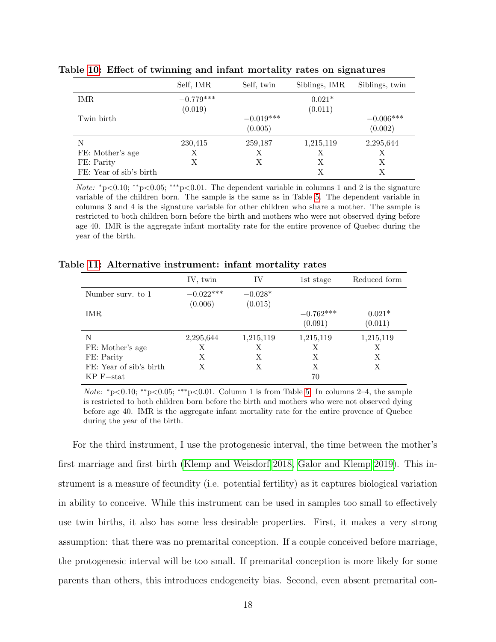|                         | Self, IMR              | Self, twin             | Siblings, IMR       | Siblings, twin         |
|-------------------------|------------------------|------------------------|---------------------|------------------------|
| IMR.                    | $-0.779***$<br>(0.019) |                        | $0.021*$<br>(0.011) |                        |
| Twin birth              |                        | $-0.019***$<br>(0.005) |                     | $-0.006***$<br>(0.002) |
| N                       | 230,415                | 259,187                | 1,215,119           | 2,295,644              |
| FE: Mother's age        | Х                      | X                      | X                   | X                      |
| FE: Parity              | Х                      | Х                      | Х                   | Х                      |
| FE: Year of sib's birth |                        |                        | X                   | X                      |

<span id="page-17-0"></span>Table [10:](#page-17-0) Effect of twinning and infant mortality rates on signatures

Note: <sup>∗</sup>p<0.10; ∗∗p<0.05; ∗∗∗p<0.01. The dependent variable in columns 1 and 2 is the signature variable of the children born. The sample is the same as in Table [5.](#page-9-1) The dependent variable in columns 3 and 4 is the signature variable for other children who share a mother. The sample is restricted to both children born before the birth and mothers who were not observed dying before age 40. IMR is the aggregate infant mortality rate for the entire provence of Quebec during the year of the birth.

<span id="page-17-1"></span>

| Table 11: Alternative instrument: infant mortality rates |  |  |  |  |
|----------------------------------------------------------|--|--|--|--|
|----------------------------------------------------------|--|--|--|--|

|                         | IV, twin               | IV                   | 1st stage              | Reduced form        |
|-------------------------|------------------------|----------------------|------------------------|---------------------|
| Number surv. to 1       | $-0.022***$<br>(0.006) | $-0.028*$<br>(0.015) |                        |                     |
| IMR.                    |                        |                      | $-0.762***$<br>(0.091) | $0.021*$<br>(0.011) |
| N                       | 2,295,644              | 1,215,119            | 1,215,119              | 1,215,119           |
| FE: Mother's age        | X                      | Х                    | X                      | Х                   |
| FE: Parity              | X                      | X                    | X                      | X                   |
| FE: Year of sib's birth | Х                      | Х                    | Х                      | Х                   |
| $KP$ F $-$ stat         |                        |                      | 70                     |                     |

*Note:*  $*p<0.10$ ;  $*p<0.05$ ;  $**p<0.01$ . Column 1 is from Table [5.](#page-9-1) In columns 2–4, the sample is restricted to both children born before the birth and mothers who were not observed dying before age 40. IMR is the aggregate infant mortality rate for the entire provence of Quebec during the year of the birth.

For the third instrument, I use the protogenesic interval, the time between the mother's first marriage and first birth [\(Klemp and Weisdorf 2018,](#page-22-1) [Galor and Klemp 2019\)](#page-22-2). This instrument is a measure of fecundity (i.e. potential fertility) as it captures biological variation in ability to conceive. While this instrument can be used in samples too small to effectively use twin births, it also has some less desirable properties. First, it makes a very strong assumption: that there was no premarital conception. If a couple conceived before marriage, the protogenesic interval will be too small. If premarital conception is more likely for some parents than others, this introduces endogeneity bias. Second, even absent premarital con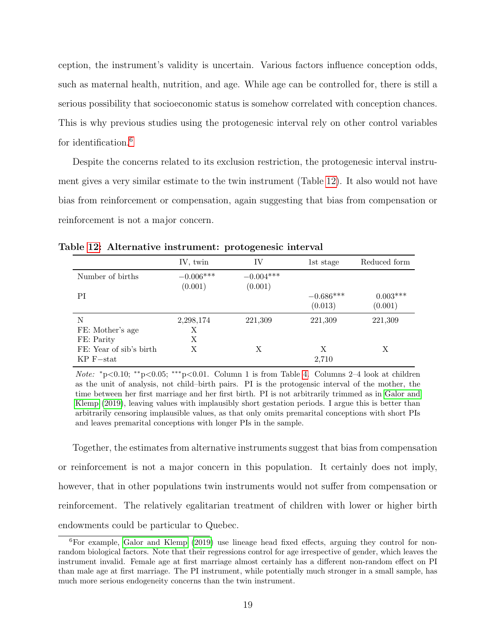ception, the instrument's validity is uncertain. Various factors influence conception odds, such as maternal health, nutrition, and age. While age can be controlled for, there is still a serious possibility that socioeconomic status is somehow correlated with conception chances. This is why previous studies using the protogenesic interval rely on other control variables for identification.<sup>[6](#page-18-0)</sup>

Despite the concerns related to its exclusion restriction, the protogenesic interval instrument gives a very similar estimate to the twin instrument (Table [12\)](#page-18-1). It also would not have bias from reinforcement or compensation, again suggesting that bias from compensation or reinforcement is not a major concern.

|                         | IV, twin    | IV          | 1st stage   | Reduced form |
|-------------------------|-------------|-------------|-------------|--------------|
| Number of births        | $-0.006***$ | $-0.004***$ |             |              |
|                         | (0.001)     | (0.001)     |             |              |
| PI                      |             |             | $-0.686***$ | $0.003***$   |
|                         |             |             | (0.013)     | (0.001)      |
| N                       | 2,298,174   | 221,309     | 221,309     | 221,309      |
| FE: Mother's age        | Х           |             |             |              |
| FE: Parity              | Х           |             |             |              |
| FE: Year of sib's birth | Х           | X           | X           | Х            |
| $KP$ F-stat             |             |             | 2.710       |              |

<span id="page-18-1"></span>Table [12:](#page-18-1) Alternative instrument: protogenesic interval

Note:  $*_p<0.10$ ;  $*_p<0.05$ ;  $^{**}_p<0.01$ . Column 1 is from Table [4.](#page-9-0) Columns 2–4 look at children as the unit of analysis, not child–birth pairs. PI is the protogensic interval of the mother, the time between her first marriage and her first birth. PI is not arbitrarily trimmed as in [Galor and](#page-22-2) [Klemp](#page-22-2) [\(2019\)](#page-22-2), leaving values with implausibly short gestation periods. I argue this is better than arbitrarily censoring implausible values, as that only omits premarital conceptions with short PIs and leaves premarital conceptions with longer PIs in the sample.

Together, the estimates from alternative instruments suggest that bias from compensation or reinforcement is not a major concern in this population. It certainly does not imply, however, that in other populations twin instruments would not suffer from compensation or reinforcement. The relatively egalitarian treatment of children with lower or higher birth endowments could be particular to Quebec.

<span id="page-18-0"></span><sup>6</sup>For example, [Galor and Klemp](#page-22-2) [\(2019\)](#page-22-2) use lineage head fixed effects, arguing they control for nonrandom biological factors. Note that their regressions control for age irrespective of gender, which leaves the instrument invalid. Female age at first marriage almost certainly has a different non-random effect on PI than male age at first marriage. The PI instrument, while potentially much stronger in a small sample, has much more serious endogeneity concerns than the twin instrument.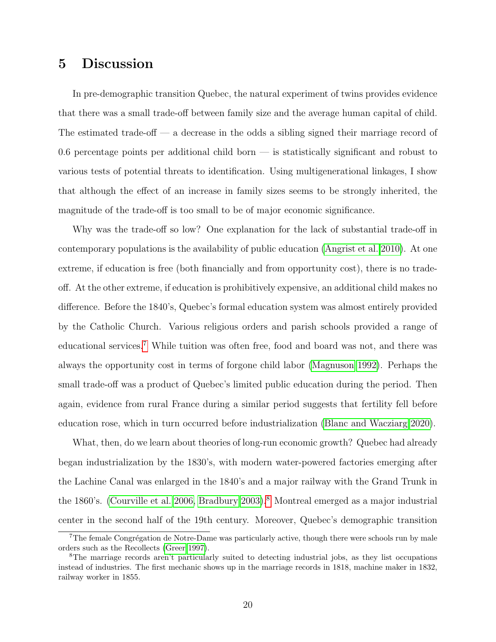# 5 Discussion

In pre-demographic transition Quebec, the natural experiment of twins provides evidence that there was a small trade-off between family size and the average human capital of child. The estimated trade-off — a decrease in the odds a sibling signed their marriage record of 0.6 percentage points per additional child born — is statistically significant and robust to various tests of potential threats to identification. Using multigenerational linkages, I show that although the effect of an increase in family sizes seems to be strongly inherited, the magnitude of the trade-off is too small to be of major economic significance.

Why was the trade-off so low? One explanation for the lack of substantial trade-off in contemporary populations is the availability of public education [\(Angrist et al. 2010\)](#page-20-3). At one extreme, if education is free (both financially and from opportunity cost), there is no tradeoff. At the other extreme, if education is prohibitively expensive, an additional child makes no difference. Before the 1840's, Quebec's formal education system was almost entirely provided by the Catholic Church. Various religious orders and parish schools provided a range of educational services.[7](#page-19-0) While tuition was often free, food and board was not, and there was always the opportunity cost in terms of forgone child labor [\(Magnuson 1992\)](#page-23-3). Perhaps the small trade-off was a product of Quebec's limited public education during the period. Then again, evidence from rural France during a similar period suggests that fertility fell before education rose, which in turn occurred before industrialization [\(Blanc and Wacziarg 2020\)](#page-21-5).

What, then, do we learn about theories of long-run economic growth? Quebec had already began industrialization by the 1830's, with modern water-powered factories emerging after the Lachine Canal was enlarged in the 1840's and a major railway with the Grand Trunk in the 1860's. [\(Courville et al. 2006,](#page-21-6) [Bradbury 2003\)](#page-21-7).<sup>[8](#page-19-1)</sup> Montreal emerged as a major industrial center in the second half of the 19th century. Moreover, Quebec's demographic transition

<span id="page-19-0"></span> $7$ The female Congrégation de Notre-Dame was particularly active, though there were schools run by male orders such as the Recollects [\(Greer 1997\)](#page-22-4).

<span id="page-19-1"></span><sup>8</sup>The marriage records aren't particularly suited to detecting industrial jobs, as they list occupations instead of industries. The first mechanic shows up in the marriage records in 1818, machine maker in 1832, railway worker in 1855.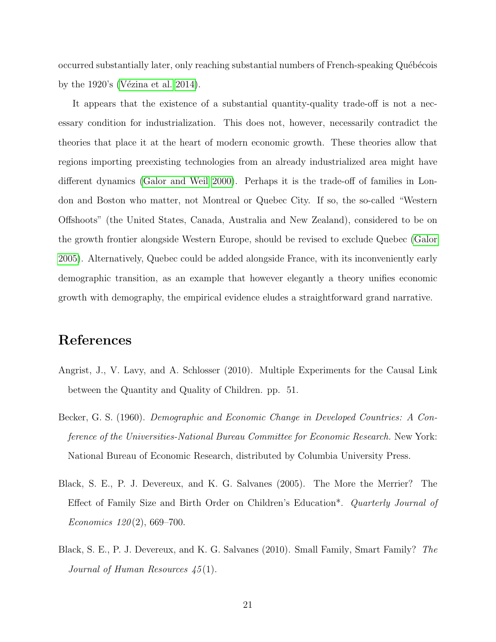occurred substantially later, only reaching substantial numbers of French-speaking Québécois by the  $1920$ 's (Vézina et al. 2014).

It appears that the existence of a substantial quantity-quality trade-off is not a necessary condition for industrialization. This does not, however, necessarily contradict the theories that place it at the heart of modern economic growth. These theories allow that regions importing preexisting technologies from an already industrialized area might have different dynamics [\(Galor and Weil 2000\)](#page-22-8). Perhaps it is the trade-off of families in London and Boston who matter, not Montreal or Quebec City. If so, the so-called "Western Offshoots" (the United States, Canada, Australia and New Zealand), considered to be on the growth frontier alongside Western Europe, should be revised to exclude Quebec [\(Galor](#page-22-0) [2005\)](#page-22-0). Alternatively, Quebec could be added alongside France, with its inconveniently early demographic transition, as an example that however elegantly a theory unifies economic growth with demography, the empirical evidence eludes a straightforward grand narrative.

## References

- <span id="page-20-3"></span>Angrist, J., V. Lavy, and A. Schlosser (2010). Multiple Experiments for the Causal Link between the Quantity and Quality of Children. pp. 51.
- <span id="page-20-0"></span>Becker, G. S. (1960). Demographic and Economic Change in Developed Countries: A Conference of the Universities-National Bureau Committee for Economic Research. New York: National Bureau of Economic Research, distributed by Columbia University Press.
- <span id="page-20-1"></span>Black, S. E., P. J. Devereux, and K. G. Salvanes (2005). The More the Merrier? The Effect of Family Size and Birth Order on Children's Education\*. Quarterly Journal of Economics  $120(2)$ , 669-700.
- <span id="page-20-2"></span>Black, S. E., P. J. Devereux, and K. G. Salvanes (2010). Small Family, Smart Family? The Journal of Human Resources  $\angle 45(1)$ .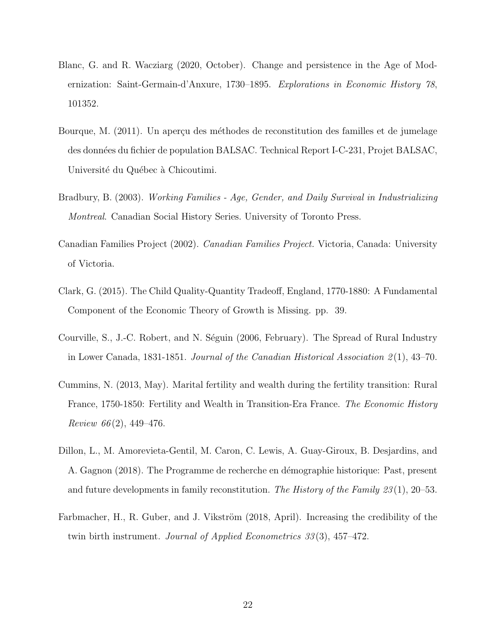- <span id="page-21-5"></span>Blanc, G. and R. Wacziarg (2020, October). Change and persistence in the Age of Modernization: Saint-Germain-d'Anxure, 1730–1895. Explorations in Economic History 78, 101352.
- <span id="page-21-1"></span>Bourque, M. (2011). Un aperçu des méthodes de reconstitution des familles et de jumelage des données du fichier de population BALSAC. Technical Report I-C-231, Projet BALSAC, Université du Québec à Chicoutimi.
- <span id="page-21-7"></span>Bradbury, B. (2003). Working Families - Age, Gender, and Daily Survival in Industrializing Montreal. Canadian Social History Series. University of Toronto Press.
- <span id="page-21-8"></span>Canadian Families Project (2002). Canadian Families Project. Victoria, Canada: University of Victoria.
- <span id="page-21-0"></span>Clark, G. (2015). The Child Quality-Quantity Tradeoff, England, 1770-1880: A Fundamental Component of the Economic Theory of Growth is Missing. pp. 39.
- <span id="page-21-6"></span>Courville, S., J.-C. Robert, and N. Séguin (2006, February). The Spread of Rural Industry in Lower Canada, 1831-1851. Journal of the Canadian Historical Association  $2(1)$ , 43–70.
- <span id="page-21-3"></span>Cummins, N. (2013, May). Marital fertility and wealth during the fertility transition: Rural France, 1750-1850: Fertility and Wealth in Transition-Era France. The Economic History Review 66 $(2)$ , 449-476.
- <span id="page-21-2"></span>Dillon, L., M. Amorevieta-Gentil, M. Caron, C. Lewis, A. Guay-Giroux, B. Desjardins, and A. Gagnon (2018). The Programme de recherche en démographie historique: Past, present and future developments in family reconstitution. The History of the Family  $23(1)$ , 20–53.
- <span id="page-21-4"></span>Farbmacher, H., R. Guber, and J. Vikström (2018, April). Increasing the credibility of the twin birth instrument. *Journal of Applied Econometrics 33*(3), 457–472.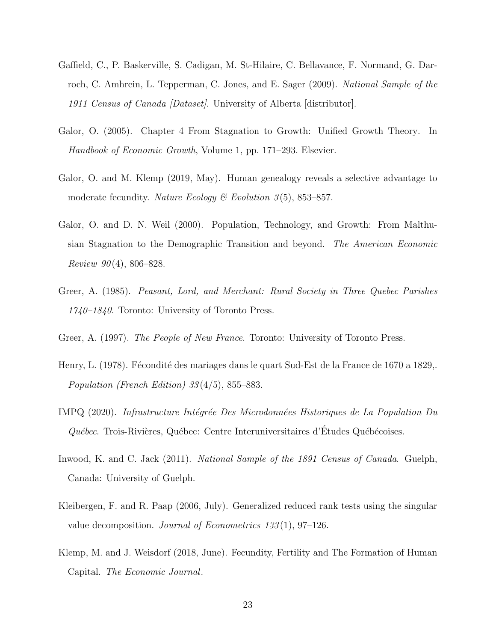- <span id="page-22-10"></span>Gaffield, C., P. Baskerville, S. Cadigan, M. St-Hilaire, C. Bellavance, F. Normand, G. Darroch, C. Amhrein, L. Tepperman, C. Jones, and E. Sager (2009). National Sample of the 1911 Census of Canada *Dataset*/. University of Alberta *distributor*.
- <span id="page-22-0"></span>Galor, O. (2005). Chapter 4 From Stagnation to Growth: Unified Growth Theory. In Handbook of Economic Growth, Volume 1, pp. 171–293. Elsevier.
- <span id="page-22-2"></span>Galor, O. and M. Klemp (2019, May). Human genealogy reveals a selective advantage to moderate fecundity. Nature Ecology & Evolution  $3(5)$ , 853–857.
- <span id="page-22-8"></span>Galor, O. and D. N. Weil (2000). Population, Technology, and Growth: From Malthusian Stagnation to the Demographic Transition and beyond. The American Economic Review  $90(4)$ , 806–828.
- <span id="page-22-6"></span>Greer, A. (1985). Peasant, Lord, and Merchant: Rural Society in Three Quebec Parishes 1740–1840. Toronto: University of Toronto Press.
- <span id="page-22-4"></span>Greer, A. (1997). The People of New France. Toronto: University of Toronto Press.
- <span id="page-22-5"></span>Henry, L. (1978). Fécondité des mariages dans le quart Sud-Est de la France de 1670 a 1829,. Population (French Edition) 33 (4/5), 855–883.
- <span id="page-22-3"></span>IMPQ (2020). Infrastructure Intégrée Des Microdonnées Historiques de La Population Du  $Québec.$  Trois-Rivières, Québec: Centre Interuniversitaires d'Études Québécoises.
- <span id="page-22-9"></span>Inwood, K. and C. Jack (2011). National Sample of the 1891 Census of Canada. Guelph, Canada: University of Guelph.
- <span id="page-22-7"></span>Kleibergen, F. and R. Paap (2006, July). Generalized reduced rank tests using the singular value decomposition. Journal of Econometrics 133 (1), 97–126.
- <span id="page-22-1"></span>Klemp, M. and J. Weisdorf (2018, June). Fecundity, Fertility and The Formation of Human Capital. The Economic Journal.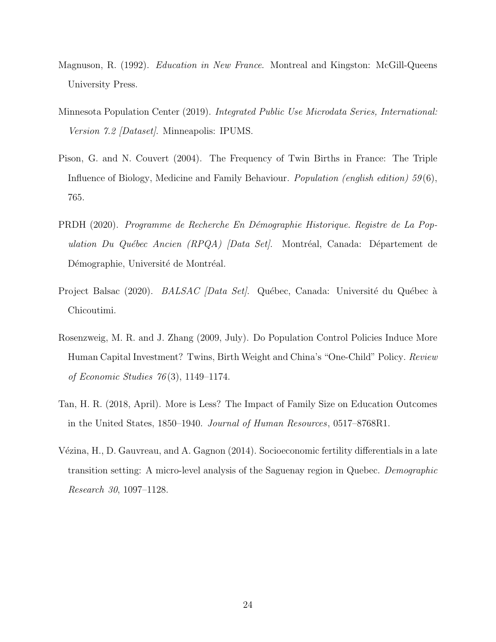- <span id="page-23-3"></span>Magnuson, R. (1992). *Education in New France*. Montreal and Kingston: McGill-Queens University Press.
- <span id="page-23-7"></span>Minnesota Population Center (2019). Integrated Public Use Microdata Series, International: Version 7.2 *[Dataset]*. Minneapolis: IPUMS.
- <span id="page-23-4"></span>Pison, G. and N. Couvert (2004). The Frequency of Twin Births in France: The Triple Influence of Biology, Medicine and Family Behaviour. Population (english edition) 59 (6), 765.
- <span id="page-23-2"></span>PRDH (2020). Programme de Recherche En Démographie Historique. Registre de La Population Du Québec Ancien (RPQA) [Data Set]. Montréal, Canada: Département de Démographie, Université de Montréal.
- <span id="page-23-1"></span>Project Balsac (2020). *BALSAC [Data Set]*. Québec, Canada: Université du Québec à Chicoutimi.
- <span id="page-23-5"></span>Rosenzweig, M. R. and J. Zhang (2009, July). Do Population Control Policies Induce More Human Capital Investment? Twins, Birth Weight and China's "One-Child" Policy. Review of Economic Studies 76 (3), 1149–1174.
- <span id="page-23-0"></span>Tan, H. R. (2018, April). More is Less? The Impact of Family Size on Education Outcomes in the United States, 1850–1940. Journal of Human Resources, 0517–8768R1.
- <span id="page-23-6"></span>V´ezina, H., D. Gauvreau, and A. Gagnon (2014). Socioeconomic fertility differentials in a late transition setting: A micro-level analysis of the Saguenay region in Quebec. Demographic Research 30, 1097–1128.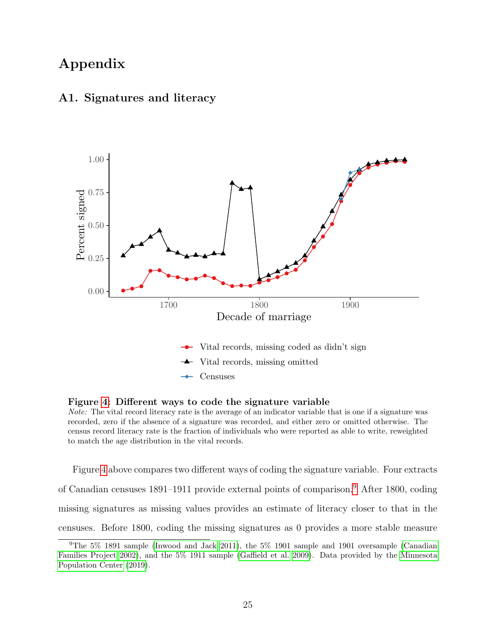# Appendix



### <span id="page-24-0"></span>A1. Signatures and literacy

Figure [4:](#page-24-0) Different ways to code the signature variable

Note: The vital record literacy rate is the average of an indicator variable that is one if a signature was recorded, zero if the absence of a signature was recorded, and either zero or omitted otherwise. The census record literacy rate is the fraction of individuals who were reported as able to write, reweighted to match the age distribution in the vital records.

Figure [4](#page-24-0) above compares two different ways of coding the signature variable. Four extracts of Canadian censuses 1891–1911 provide external points of comparison.[9](#page-24-1) After 1800, coding missing signatures as missing values provides an estimate of literacy closer to that in the censuses. Before 1800, coding the missing signatures as 0 provides a more stable measure

<span id="page-24-1"></span><sup>9</sup>The 5% 1891 sample [\(Inwood and Jack 2011\)](#page-22-9), the 5% 1901 sample and 1901 oversample [\(Canadian](#page-21-8) [Families Project 2002\)](#page-21-8), and the 5% 1911 sample [\(Gaffield et al. 2009\)](#page-22-10). Data provided by the [Minnesota](#page-23-7) [Population Center](#page-23-7) [\(2019\)](#page-23-7).